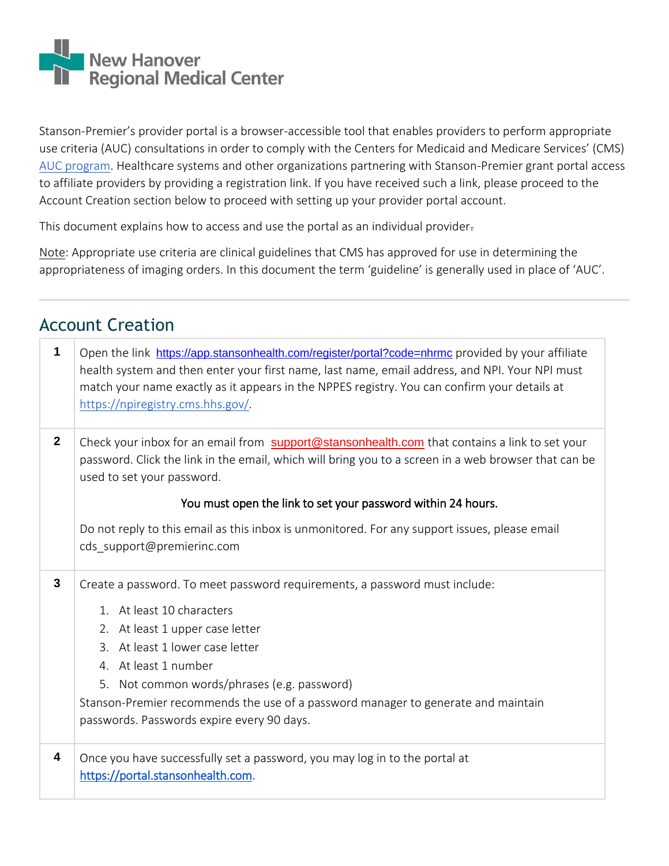

Stanson-Premier's provider portal is a browser-accessible tool that enables providers to perform appropriate use criteria (AUC) consultations in order to comply with the Centers for Medicaid and Medicare Services' (CMS) [AUC program.](https://www.cms.gov/Medicare/Quality-Initiatives-Patient-Assessment-Instruments/Appropriate-Use-Criteria-Program/index.html) Healthcare systems and other organizations partnering with Stanson-Premier grant portal access to affiliate providers by providing a registration link. If you have received such a link, please proceed to the Account Creation section below to proceed with setting up your provider portal account.

This document explains how to access and use the portal as an individual provider.

Note: Appropriate use criteria are clinical guidelines that CMS has approved for use in determining the appropriateness of imaging orders. In this document the term 'guideline' is generally used in place of 'AUC'.

| 1            | Open the link https://app.stansonhealth.com/register/portal?code=nhrmc provided by your affiliate<br>health system and then enter your first name, last name, email address, and NPI. Your NPI must<br>match your name exactly as it appears in the NPPES registry. You can confirm your details at<br>https://npiregistry.cms.hhs.gov/ |
|--------------|-----------------------------------------------------------------------------------------------------------------------------------------------------------------------------------------------------------------------------------------------------------------------------------------------------------------------------------------|
| $\mathbf{2}$ | Check your inbox for an email from support@stansonhealth.com that contains a link to set your<br>password. Click the link in the email, which will bring you to a screen in a web browser that can be<br>used to set your password.                                                                                                     |
|              | You must open the link to set your password within 24 hours.                                                                                                                                                                                                                                                                            |
|              | Do not reply to this email as this inbox is unmonitored. For any support issues, please email<br>cds support@premierinc.com                                                                                                                                                                                                             |
| $\mathbf{3}$ | Create a password. To meet password requirements, a password must include:                                                                                                                                                                                                                                                              |
|              | 1. At least 10 characters                                                                                                                                                                                                                                                                                                               |
|              | 2. At least 1 upper case letter                                                                                                                                                                                                                                                                                                         |
|              | 3. At least 1 lower case letter                                                                                                                                                                                                                                                                                                         |
|              | 4. At least 1 number                                                                                                                                                                                                                                                                                                                    |
|              | Not common words/phrases (e.g. password)<br>5.                                                                                                                                                                                                                                                                                          |
|              | Stanson-Premier recommends the use of a password manager to generate and maintain                                                                                                                                                                                                                                                       |
|              | passwords. Passwords expire every 90 days.                                                                                                                                                                                                                                                                                              |
| 4            | Once you have successfully set a password, you may log in to the portal at<br>https://portal.stansonhealth.com                                                                                                                                                                                                                          |

## Account Creation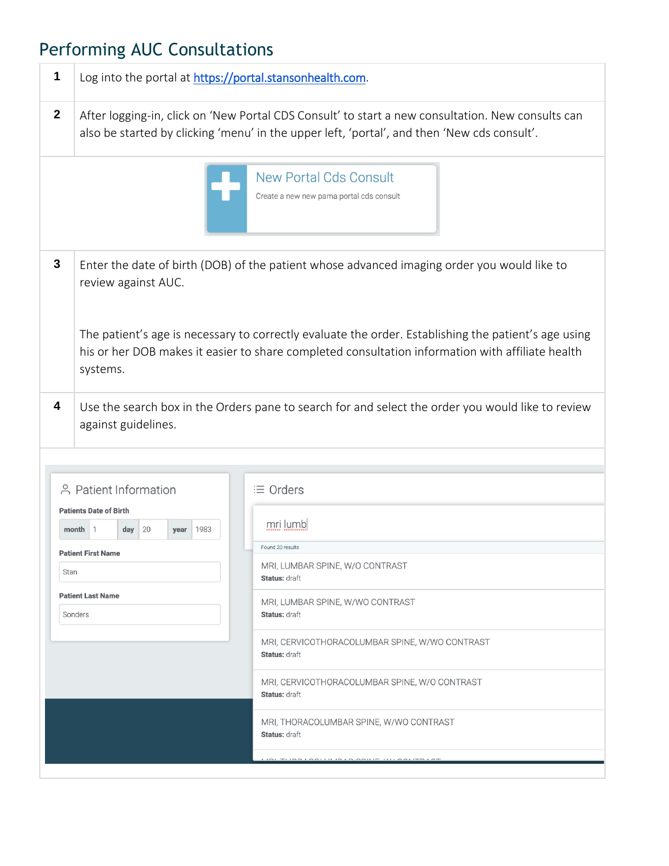## Performing AUC Consultations

| 1            | Log into the portal at https://portal.stansonhealth.com.                                                                                     |                                                                                                                                                                                                                                                                                                         |
|--------------|----------------------------------------------------------------------------------------------------------------------------------------------|---------------------------------------------------------------------------------------------------------------------------------------------------------------------------------------------------------------------------------------------------------------------------------------------------------|
| $\mathbf{2}$ |                                                                                                                                              | After logging-in, click on 'New Portal CDS Consult' to start a new consultation. New consults can<br>also be started by clicking 'menu' in the upper left, 'portal', and then 'New cds consult'.                                                                                                        |
|              |                                                                                                                                              | <b>New Portal Cds Consult</b><br>Create a new new pama portal cds consult                                                                                                                                                                                                                               |
| 3            | review against AUC.<br>systems.                                                                                                              | Enter the date of birth (DOB) of the patient whose advanced imaging order you would like to<br>The patient's age is necessary to correctly evaluate the order. Establishing the patient's age using<br>his or her DOB makes it easier to share completed consultation information with affiliate health |
| 4            | against guidelines.<br>음 Patient Information                                                                                                 | Use the search box in the Orders pane to search for and select the order you would like to review<br>$\equiv$ Orders                                                                                                                                                                                    |
| Stan         | <b>Patients Date of Birth</b><br>20<br>$month$ 1<br>day<br> 1983<br>year<br><b>Patient First Name</b><br><b>Patient Last Name</b><br>Sonders | mri lumb<br>Found 20 results<br>MRI, LUMBAR SPINE, W/O CONTRAST<br>Status: draft<br>MRI, LUMBAR SPINE, W/WO CONTRAST<br><b>Status: draft</b><br>MRI, CERVICOTHORACOLUMBAR SPINE, W/WO CONTRAST<br><b>Status: draft</b><br>MRI, CERVICOTHORACOLUMBAR SPINE, W/O CONTRAST<br><b>Status: draft</b>         |
|              |                                                                                                                                              | MRI, THORACOLUMBAR SPINE, W/WO CONTRAST<br>Status: draft<br>CALLILIA LA CALLIE ILLI CALITA                                                                                                                                                                                                              |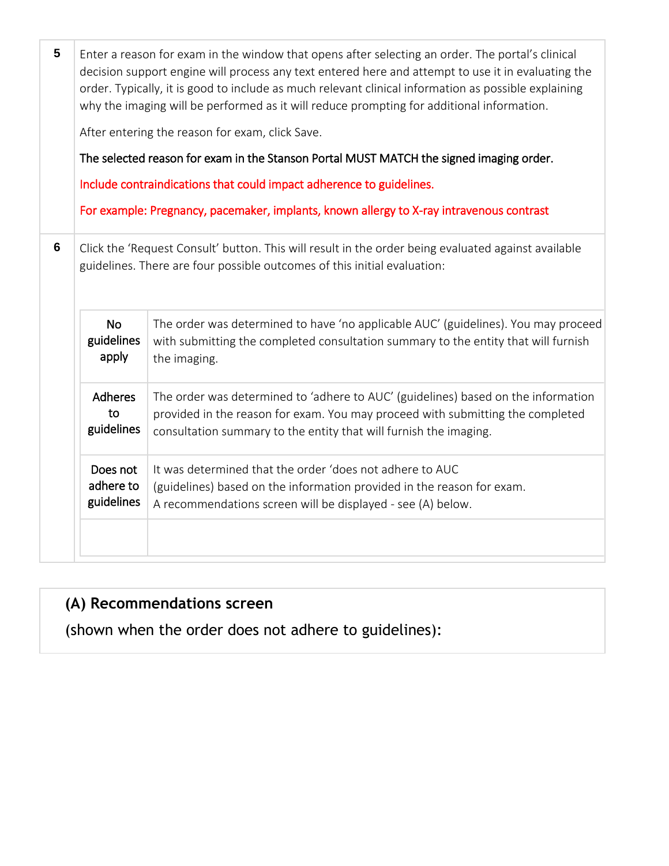| $5\phantom{1}$ |                                                                                                                                                                                 | Enter a reason for exam in the window that opens after selecting an order. The portal's clinical<br>decision support engine will process any text entered here and attempt to use it in evaluating the<br>order. Typically, it is good to include as much relevant clinical information as possible explaining<br>why the imaging will be performed as it will reduce prompting for additional information. |  |  |
|----------------|---------------------------------------------------------------------------------------------------------------------------------------------------------------------------------|-------------------------------------------------------------------------------------------------------------------------------------------------------------------------------------------------------------------------------------------------------------------------------------------------------------------------------------------------------------------------------------------------------------|--|--|
|                |                                                                                                                                                                                 | After entering the reason for exam, click Save.                                                                                                                                                                                                                                                                                                                                                             |  |  |
|                |                                                                                                                                                                                 | The selected reason for exam in the Stanson Portal MUST MATCH the signed imaging order.                                                                                                                                                                                                                                                                                                                     |  |  |
|                |                                                                                                                                                                                 | Include contraindications that could impact adherence to guidelines.                                                                                                                                                                                                                                                                                                                                        |  |  |
|                |                                                                                                                                                                                 | For example: Pregnancy, pacemaker, implants, known allergy to X-ray intravenous contrast                                                                                                                                                                                                                                                                                                                    |  |  |
| 6              | Click the 'Request Consult' button. This will result in the order being evaluated against available<br>guidelines. There are four possible outcomes of this initial evaluation: |                                                                                                                                                                                                                                                                                                                                                                                                             |  |  |
|                | <b>No</b><br>guidelines<br>apply                                                                                                                                                | The order was determined to have 'no applicable AUC' (guidelines). You may proceed<br>with submitting the completed consultation summary to the entity that will furnish<br>the imaging.                                                                                                                                                                                                                    |  |  |
|                | <b>Adheres</b><br>to<br>guidelines                                                                                                                                              | The order was determined to 'adhere to AUC' (guidelines) based on the information<br>provided in the reason for exam. You may proceed with submitting the completed<br>consultation summary to the entity that will furnish the imaging.                                                                                                                                                                    |  |  |
|                | Does not<br>adhere to<br>guidelines                                                                                                                                             | It was determined that the order 'does not adhere to AUC<br>(guidelines) based on the information provided in the reason for exam.<br>A recommendations screen will be displayed - see (A) below.                                                                                                                                                                                                           |  |  |
|                |                                                                                                                                                                                 |                                                                                                                                                                                                                                                                                                                                                                                                             |  |  |

### **(A) Recommendations screen**

(shown when the order does not adhere to guidelines):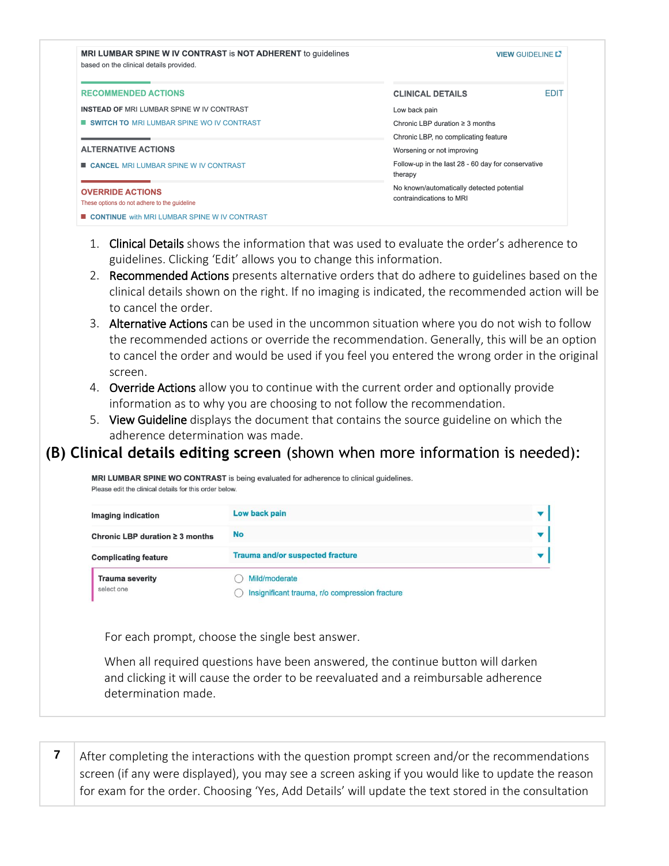| <b>MRI LUMBAR SPINE W IV CONTRAST is NOT ADHERENT to guidelines</b><br>based on the clinical details provided. |                                                               | <b>VIEW GUIDELINE L'</b> |
|----------------------------------------------------------------------------------------------------------------|---------------------------------------------------------------|--------------------------|
| <b>RECOMMENDED ACTIONS</b>                                                                                     | <b>CLINICAL DETAILS</b>                                       | <b>EDIT</b>              |
| <b>INSTEAD OF MRI LUMBAR SPINE W IV CONTRAST</b>                                                               | Low back pain                                                 |                          |
| <b>SWITCH TO MRI LUMBAR SPINE WO IV CONTRAST</b>                                                               | Chronic LBP duration $\geq$ 3 months                          |                          |
|                                                                                                                | Chronic LBP, no complicating feature                          |                          |
| <b>ALTERNATIVE ACTIONS</b>                                                                                     | Worsening or not improving                                    |                          |
| <b>E CANCEL MRI LUMBAR SPINE W IV CONTRAST</b>                                                                 | Follow-up in the last 28 - 60 day for conservative<br>therapy |                          |
| <b>OVERRIDE ACTIONS</b>                                                                                        | No known/automatically detected potential                     |                          |
| These options do not adhere to the guideline                                                                   | contraindications to MRI                                      |                          |
| CONTINUE with MRI LUMBAR SPINE W IV CONTRAST                                                                   |                                                               |                          |

- 1. Clinical Details shows the information that was used to evaluate the order's adherence to guidelines. Clicking 'Edit' allows you to change this information.
- 2. Recommended Actions presents alternative orders that do adhere to guidelines based on the clinical details shown on the right. If no imaging is indicated, the recommended action will be to cancel the order.
- 3. Alternative Actions can be used in the uncommon situation where you do not wish to follow the recommended actions or override the recommendation. Generally, this will be an option to cancel the order and would be used if you feel you entered the wrong order in the original screen.
- 4. Override Actions allow you to continue with the current order and optionally provide information as to why you are choosing to not follow the recommendation.
- 5. View Guideline displays the document that contains the source guideline on which the adherence determination was made.

### **(B) Clinical details editing screen** (shown when more information is needed):

MRI LUMBAR SPINE WO CONTRAST is being evaluated for adherence to clinical guidelines. Please edit the clinical details for this order below.

| Imaging indication                   | Low back pain                                                   |  |
|--------------------------------------|-----------------------------------------------------------------|--|
| Chronic LBP duration $\geq 3$ months | <b>No</b>                                                       |  |
| <b>Complicating feature</b>          | <b>Trauma and/or suspected fracture</b>                         |  |
| <b>Trauma severity</b><br>select one | Mild/moderate<br>Insignificant trauma, r/o compression fracture |  |

For each prompt, choose the single best answer.

When all required questions have been answered, the continue button will darken and clicking it will cause the order to be reevaluated and a reimbursable adherence determination made.

**7** After completing the interactions with the question prompt screen and/or the recommendations screen (if any were displayed), you may see a screen asking if you would like to update the reason for exam for the order. Choosing 'Yes, Add Details' will update the text stored in the consultation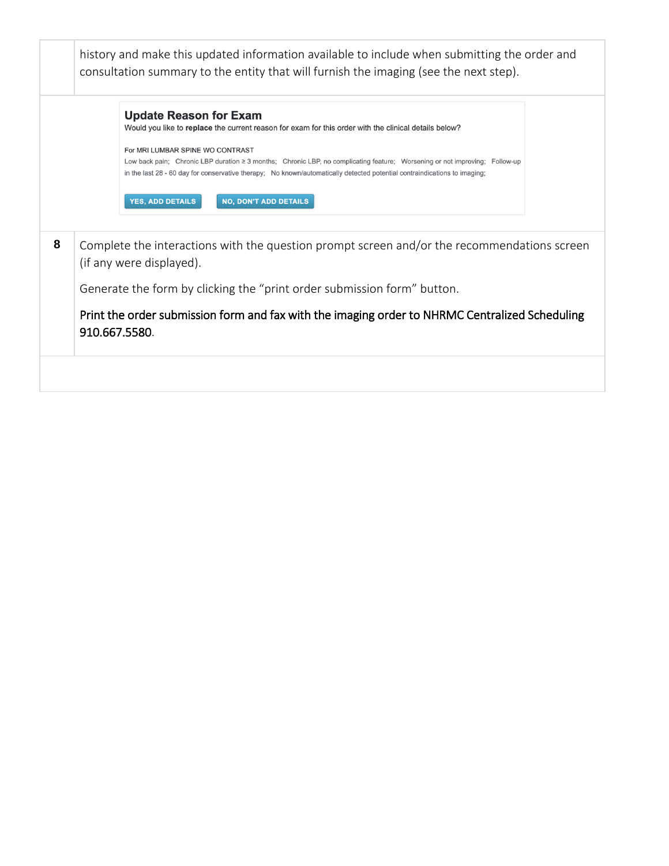|                                                                                                                         | <b>Update Reason for Exam</b><br>Would you like to replace the current reason for exam for this order with the clinical details below?                                                                                                                                                       |  |  |  |  |
|-------------------------------------------------------------------------------------------------------------------------|----------------------------------------------------------------------------------------------------------------------------------------------------------------------------------------------------------------------------------------------------------------------------------------------|--|--|--|--|
|                                                                                                                         | For MRI LUMBAR SPINE WO CONTRAST<br>Low back pain; Chronic LBP duration ≥ 3 months; Chronic LBP, no complicating feature; Worsening or not improving; Follow-up<br>in the last 28 - 60 day for conservative therapy; No known/automatically detected potential contraindications to imaging; |  |  |  |  |
|                                                                                                                         | <b>YES, ADD DETAILS</b><br><b>NO, DON'T ADD DETAILS</b>                                                                                                                                                                                                                                      |  |  |  |  |
| Complete the interactions with the question prompt screen and/or the recommendations screen<br>(if any were displayed). |                                                                                                                                                                                                                                                                                              |  |  |  |  |
| Generate the form by clicking the "print order submission form" button.                                                 |                                                                                                                                                                                                                                                                                              |  |  |  |  |
|                                                                                                                         | Print the order submission form and fax with the imaging order to NHRMC Centralized Scheduling                                                                                                                                                                                               |  |  |  |  |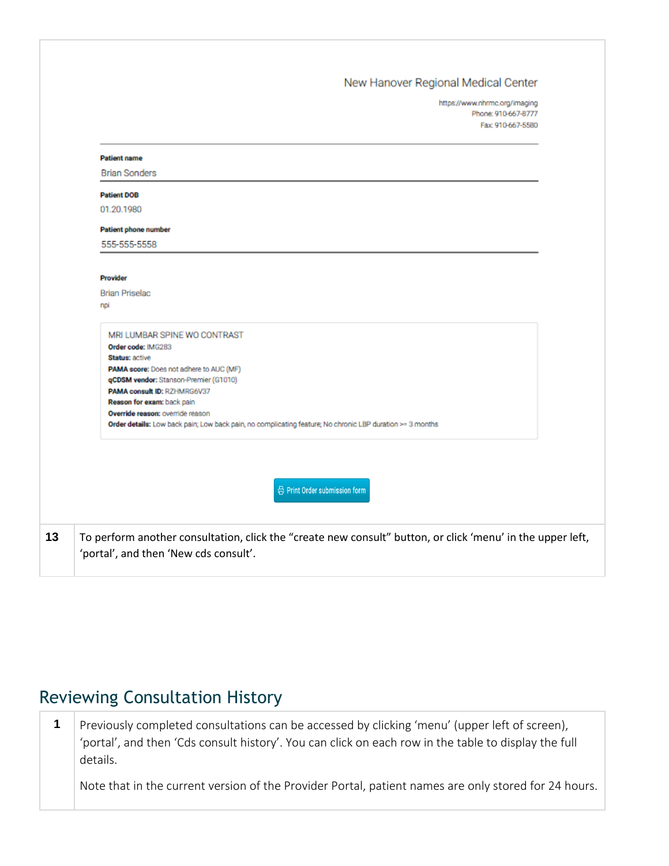### New Hanover Regional Medical Center

https://www.nhrmc.org/imaging Phone: 910-667-8777 Fax: 910-667-5580

| <b>Patient name</b>                                                                                                                                                                                                                                                                                                                                                    |  |
|------------------------------------------------------------------------------------------------------------------------------------------------------------------------------------------------------------------------------------------------------------------------------------------------------------------------------------------------------------------------|--|
| <b>Brian Sonders</b>                                                                                                                                                                                                                                                                                                                                                   |  |
| <b>Patient DOB</b>                                                                                                                                                                                                                                                                                                                                                     |  |
| 01.20.1980                                                                                                                                                                                                                                                                                                                                                             |  |
| Patient phone number                                                                                                                                                                                                                                                                                                                                                   |  |
| 555-555-5558                                                                                                                                                                                                                                                                                                                                                           |  |
|                                                                                                                                                                                                                                                                                                                                                                        |  |
| <b>Provider</b>                                                                                                                                                                                                                                                                                                                                                        |  |
| <b>Brian Priselac</b>                                                                                                                                                                                                                                                                                                                                                  |  |
| npi                                                                                                                                                                                                                                                                                                                                                                    |  |
| MRI LUMBAR SPINE WO CONTRAST<br>Order code: IMG283<br>Status: active<br>PAMA score: Does not adhere to AUC (MF)<br>qCDSM vendor: Stanson-Premier (G1010)<br>PAMA consult ID: RZHMRG6V37<br>Reason for exam: back pain<br>Override reason: override reason<br>Order details: Low back pain; Low back pain, no complicating feature; No chronic LBP duration >= 3 months |  |
| <b>a</b> Print Order submission form                                                                                                                                                                                                                                                                                                                                   |  |
| To perform another consultation, click the "create new consult" button, or click 'menu' in the upper left,<br>'portal', and then 'New cds consult'.                                                                                                                                                                                                                    |  |

### Reviewing Consultation History

**1** Previously completed consultations can be accessed by clicking 'menu' (upper left of screen), 'portal', and then 'Cds consult history'. You can click on each row in the table to display the full details.

Note that in the current version of the Provider Portal, patient names are only stored for 24 hours.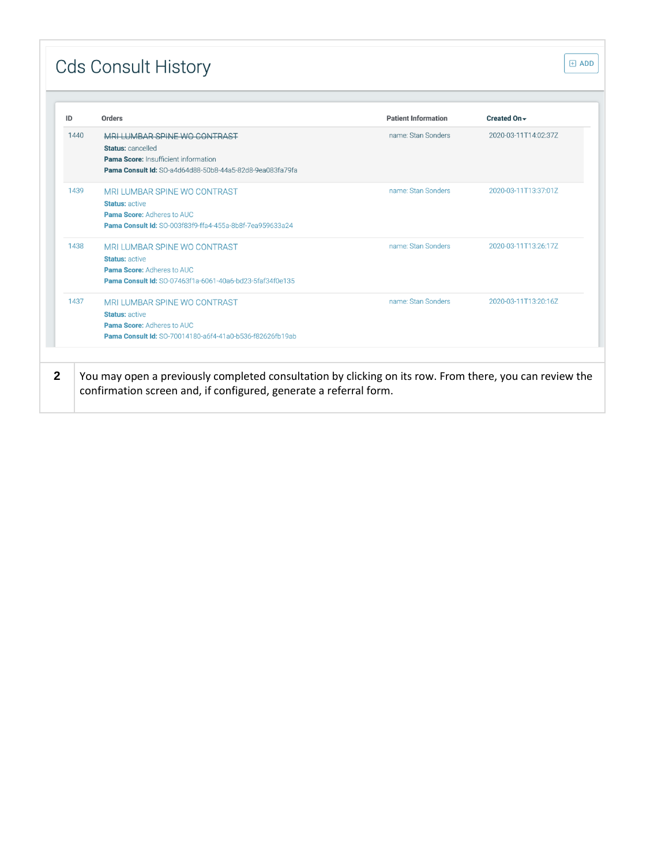# **Cds Consult History**

| ID   | <b>Orders</b>                                                   | <b>Patient Information</b> | Created On -         |
|------|-----------------------------------------------------------------|----------------------------|----------------------|
| 1440 | MRI LUMBAR SPINE WO CONTRAST                                    | name: Stan Sonders         | 2020-03-11T14:02:37Z |
|      | Status: cancelled                                               |                            |                      |
|      | Pama Score: Insufficient information                            |                            |                      |
|      | <b>Pama Consult Id:</b> SO-a4d64d88-50b8-44a5-82d8-9ea083fa79fa |                            |                      |
| 1439 | MRI LUMBAR SPINE WO CONTRAST                                    | name: Stan Sonders         | 2020-03-11T13:37:01Z |
|      | <b>Status: active</b>                                           |                            |                      |
|      | <b>Pama Score: Adheres to AUC</b>                               |                            |                      |
|      | <b>Pama Consult Id: SO-003f83f9-ffa4-455a-8b8f-7ea959633a24</b> |                            |                      |
| 1438 | MRI LUMBAR SPINE WO CONTRAST                                    | name: Stan Sonders         | 2020-03-11T13:26:17Z |
|      | <b>Status: active</b>                                           |                            |                      |
|      | <b>Pama Score: Adheres to AUC</b>                               |                            |                      |
|      | <b>Pama Consult Id: SO-07463f1a-6061-40a6-bd23-5faf34f0e135</b> |                            |                      |
| 1437 | MRI LUMBAR SPINE WO CONTRAST                                    | name: Stan Sonders         | 2020-03-11T13:20:16Z |
|      | <b>Status: active</b>                                           |                            |                      |
|      | <b>Pama Score: Adheres to AUC</b>                               |                            |                      |
|      | Pama Consult Id: SO-70014180-a6f4-41a0-b536-f82626fb19ab        |                            |                      |

 $\overline{\boxplus}$  ADD